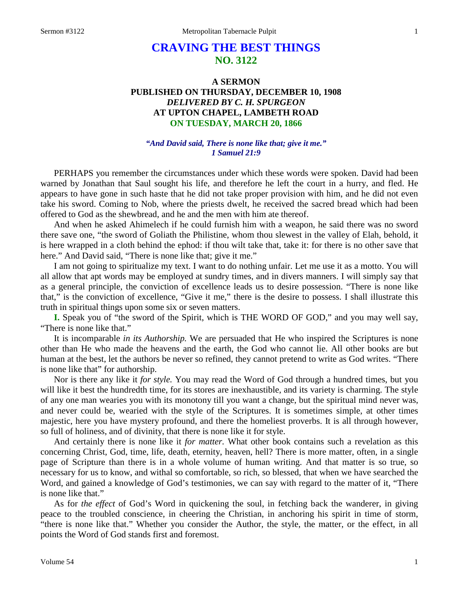# **CRAVING THE BEST THINGS NO. 3122**

# **A SERMON PUBLISHED ON THURSDAY, DECEMBER 10, 1908** *DELIVERED BY C. H. SPURGEON* **AT UPTON CHAPEL, LAMBETH ROAD ON TUESDAY, MARCH 20, 1866**

### *"And David said, There is none like that; give it me." 1 Samuel 21:9*

PERHAPS you remember the circumstances under which these words were spoken. David had been warned by Jonathan that Saul sought his life, and therefore he left the court in a hurry, and fled. He appears to have gone in such haste that he did not take proper provision with him, and he did not even take his sword. Coming to Nob, where the priests dwelt, he received the sacred bread which had been offered to God as the shewbread, and he and the men with him ate thereof.

And when he asked Ahimelech if he could furnish him with a weapon, he said there was no sword there save one, "the sword of Goliath the Philistine, whom thou slewest in the valley of Elah, behold, it is here wrapped in a cloth behind the ephod: if thou wilt take that, take it: for there is no other save that here." And David said, "There is none like that; give it me."

I am not going to spiritualize my text. I want to do nothing unfair. Let me use it as a motto. You will all allow that apt words may be employed at sundry times, and in divers manners. I will simply say that as a general principle, the conviction of excellence leads us to desire possession. "There is none like that," is the conviction of excellence, "Give it me," there is the desire to possess. I shall illustrate this truth in spiritual things upon some six or seven matters.

**I.** Speak you of "the sword of the Spirit, which is THE WORD OF GOD," and you may well say, "There is none like that."

It is incomparable *in its Authorship.* We are persuaded that He who inspired the Scriptures is none other than He who made the heavens and the earth, the God who cannot lie. All other books are but human at the best, let the authors be never so refined, they cannot pretend to write as God writes. "There is none like that" for authorship.

Nor is there any like it *for style.* You may read the Word of God through a hundred times, but you will like it best the hundredth time, for its stores are inexhaustible, and its variety is charming. The style of any one man wearies you with its monotony till you want a change, but the spiritual mind never was, and never could be, wearied with the style of the Scriptures. It is sometimes simple, at other times majestic, here you have mystery profound, and there the homeliest proverbs. It is all through however, so full of holiness, and of divinity, that there is none like it for style.

And certainly there is none like it *for matter.* What other book contains such a revelation as this concerning Christ, God, time, life, death, eternity, heaven, hell? There is more matter, often, in a single page of Scripture than there is in a whole volume of human writing. And that matter is so true, so necessary for us to know, and withal so comfortable, so rich, so blessed, that when we have searched the Word, and gained a knowledge of God's testimonies, we can say with regard to the matter of it, "There is none like that."

As for *the effect* of God's Word in quickening the soul, in fetching back the wanderer, in giving peace to the troubled conscience, in cheering the Christian, in anchoring his spirit in time of storm, "there is none like that." Whether you consider the Author, the style, the matter, or the effect, in all points the Word of God stands first and foremost.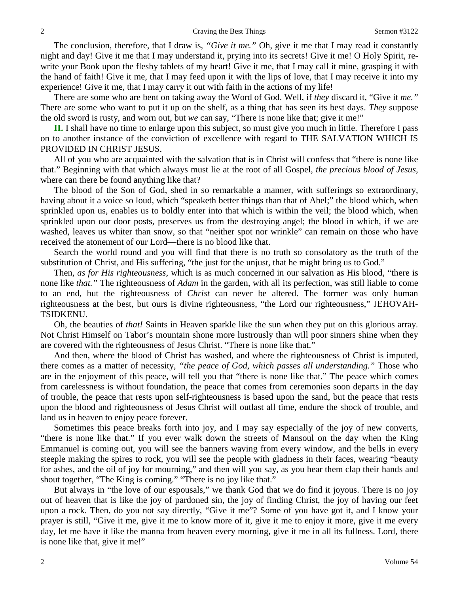The conclusion, therefore, that I draw is, *"Give it me."* Oh, give it me that I may read it constantly night and day! Give it me that I may understand it, prying into its secrets! Give it me! O Holy Spirit, rewrite your Book upon the fleshy tablets of my heart! Give it me, that I may call it mine, grasping it with the hand of faith! Give it me, that I may feed upon it with the lips of love, that I may receive it into my experience! Give it me, that I may carry it out with faith in the actions of my life!

There are some who are bent on taking away the Word of God. Well, if *they* discard it, "Give it *me."*  There are some who want to put it up on the shelf, as a thing that has seen its best days. *They* suppose the old sword is rusty, and worn out, but *we* can say, "There is none like that; give it me!"

**II.** I shall have no time to enlarge upon this subject, so must give you much in little. Therefore I pass on to another instance of the conviction of excellence with regard to THE SALVATION WHICH IS PROVIDED IN CHRIST JESUS.

All of you who are acquainted with the salvation that is in Christ will confess that "there is none like that." Beginning with that which always must lie at the root of all Gospel, *the precious blood of Jesus,*  where can there be found anything like that?

The blood of the Son of God, shed in so remarkable a manner, with sufferings so extraordinary, having about it a voice so loud, which "speaketh better things than that of Abel;" the blood which, when sprinkled upon us, enables us to boldly enter into that which is within the veil; the blood which, when sprinkled upon our door posts, preserves us from the destroying angel; the blood in which, if we are washed, leaves us whiter than snow, so that "neither spot nor wrinkle" can remain on those who have received the atonement of our Lord—there is no blood like that.

Search the world round and you will find that there is no truth so consolatory as the truth of the substitution of Christ, and His suffering, "the just for the unjust, that he might bring us to God."

Then, *as for His righteousness,* which is as much concerned in our salvation as His blood, "there is none like *that."* The righteousness of *Adam* in the garden, with all its perfection, was still liable to come to an end, but the righteousness of *Christ* can never be altered. The former was only human righteousness at the best, but ours is divine righteousness, "the Lord our righteousness," JEHOVAH-TSIDKENU.

Oh, the beauties of *that!* Saints in Heaven sparkle like the sun when they put on this glorious array. Not Christ Himself on Tabor's mountain shone more lustrously than will poor sinners shine when they are covered with the righteousness of Jesus Christ. "There is none like that."

And then, where the blood of Christ has washed, and where the righteousness of Christ is imputed, there comes as a matter of necessity, *"the peace of God, which passes all understanding."* Those who are in the enjoyment of this peace, will tell you that "there is none like that." The peace which comes from carelessness is without foundation, the peace that comes from ceremonies soon departs in the day of trouble, the peace that rests upon self-righteousness is based upon the sand, but the peace that rests upon the blood and righteousness of Jesus Christ will outlast all time, endure the shock of trouble, and land us in heaven to enjoy peace forever.

Sometimes this peace breaks forth into joy, and I may say especially of the joy of new converts, "there is none like that." If you ever walk down the streets of Mansoul on the day when the King Emmanuel is coming out, you will see the banners waving from every window, and the bells in every steeple making the spires to rock, you will see the people with gladness in their faces, wearing "beauty for ashes, and the oil of joy for mourning," and then will you say, as you hear them clap their hands and shout together, "The King is coming." "There is no joy like that."

But always in "the love of our espousals," we thank God that we do find it joyous. There is no joy out of heaven that is like the joy of pardoned sin, the joy of finding Christ, the joy of having our feet upon a rock. Then, do you not say directly, "Give it me"? Some of you have got it, and I know your prayer is still, "Give it me, give it me to know more of it, give it me to enjoy it more, give it me every day, let me have it like the manna from heaven every morning, give it me in all its fullness. Lord, there is none like that, give it me!"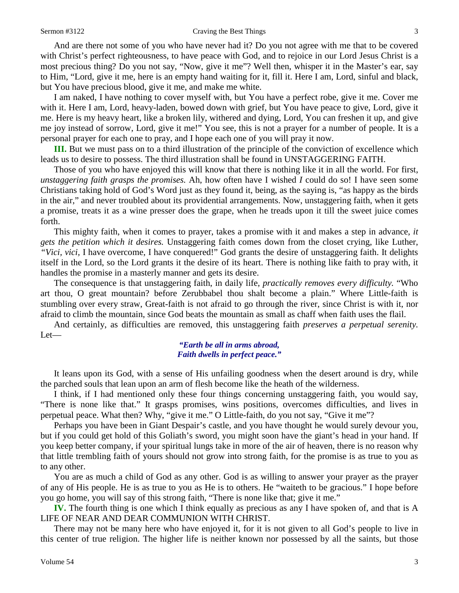And are there not some of you who have never had it? Do you not agree with me that to be covered with Christ's perfect righteousness, to have peace with God, and to rejoice in our Lord Jesus Christ is a most precious thing? Do you not say, "Now, give it me"? Well then, whisper it in the Master's ear, say to Him, "Lord, give it me, here is an empty hand waiting for it, fill it. Here I am, Lord, sinful and black, but You have precious blood, give it me, and make me white.

I am naked, I have nothing to cover myself with, but You have a perfect robe, give it me. Cover me with it. Here I am, Lord, heavy-laden, bowed down with grief, but You have peace to give, Lord, give it me. Here is my heavy heart, like a broken lily, withered and dying, Lord, You can freshen it up, and give me joy instead of sorrow, Lord, give it me!" You see, this is not a prayer for a number of people. It is a personal prayer for each one to pray, and I hope each one of you will pray it now.

**III.** But we must pass on to a third illustration of the principle of the conviction of excellence which leads us to desire to possess. The third illustration shall be found in UNSTAGGERING FAITH.

Those of you who have enjoyed this will know that there is nothing like it in all the world. For first, *unstaggering faith grasps the promises.* Ah, how often have I wished *I* could do so! I have seen some Christians taking hold of God's Word just as they found it, being, as the saying is, "as happy as the birds in the air," and never troubled about its providential arrangements. Now, unstaggering faith, when it gets a promise, treats it as a wine presser does the grape, when he treads upon it till the sweet juice comes forth.

This mighty faith, when it comes to prayer, takes a promise with it and makes a step in advance, *it gets the petition which it desires.* Unstaggering faith comes down from the closet crying, like Luther, *"Vici, vici,* I have overcome, I have conquered!" God grants the desire of unstaggering faith. It delights itself in the Lord, so the Lord grants it the desire of its heart. There is nothing like faith to pray with, it handles the promise in a masterly manner and gets its desire.

The consequence is that unstaggering faith, in daily life, *practically removes every difficulty.* "Who art thou, O great mountain? before Zerubbabel thou shalt become a plain." Where Little-faith is stumbling over every straw, Great-faith is not afraid to go through the river, since Christ is with it, nor afraid to climb the mountain, since God beats the mountain as small as chaff when faith uses the flail.

And certainly, as difficulties are removed, this unstaggering faith *preserves a perpetual serenity.*  Let—

# *"Earth be all in arms abroad, Faith dwells in perfect peace."*

It leans upon its God, with a sense of His unfailing goodness when the desert around is dry, while the parched souls that lean upon an arm of flesh become like the heath of the wilderness.

I think, if I had mentioned only these four things concerning unstaggering faith, you would say, "There is none like that." It grasps promises, wins positions, overcomes difficulties, and lives in perpetual peace. What then? Why, "give it me." O Little-faith, do you not say, "Give it me"?

Perhaps you have been in Giant Despair's castle, and you have thought he would surely devour you, but if you could get hold of this Goliath's sword, you might soon have the giant's head in your hand. If you keep better company, if your spiritual lungs take in more of the air of heaven, there is no reason why that little trembling faith of yours should not grow into strong faith, for the promise is as true to you as to any other.

You are as much a child of God as any other. God is as willing to answer your prayer as the prayer of any of His people. He is as true to you as He is to others. He "waiteth to be gracious." I hope before you go home, you will say of this strong faith, "There is none like that; give it me."

**IV.** The fourth thing is one which I think equally as precious as any I have spoken of, and that is A LIFE OF NEAR AND DEAR COMMUNION WITH CHRIST.

There may not be many here who have enjoyed it, for it is not given to all God's people to live in this center of true religion. The higher life is neither known nor possessed by all the saints, but those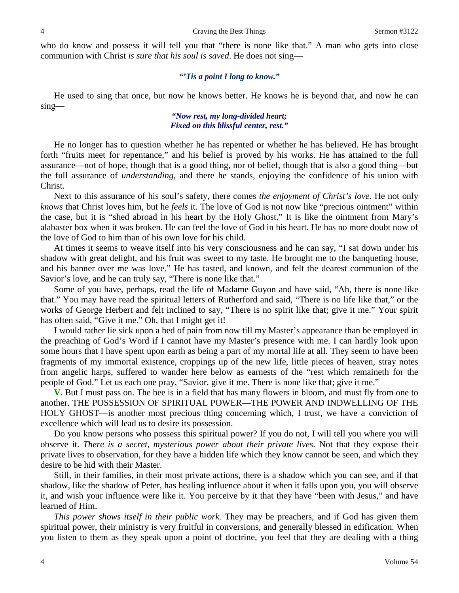who do know and possess it will tell you that "there is none like that." A man who gets into close communion with Christ *is sure that his soul is saved*. He does not sing—

## *"'Tis a point I long to know."*

He used to sing that once, but now he knows better. He knows he is beyond that, and now he can sing—

# *"Now rest, my long-divided heart; Fixed on this blissful center, rest."*

He no longer has to question whether he has repented or whether he has believed. He has brought forth "fruits meet for repentance," and his belief is proved by his works. He has attained to the full assurance—not of hope, though that is a good thing, nor of belief, though that is also a good thing—but the full assurance of *understanding,* and there he stands, enjoying the confidence of his union with Christ.

Next to this assurance of his soul's safety, there comes *the enjoyment of Christ's love.* He not only *knows* that Christ loves him, but he *feels* it. The love of God is not now like "precious ointment" within the case, but it is "shed abroad in his heart by the Holy Ghost." It is like the ointment from Mary's alabaster box when it was broken. He can feel the love of God in his heart. He has no more doubt now of the love of God to him than of his own love for his child.

At times it seems to weave itself into his very consciousness and he can say, "I sat down under his shadow with great delight, and his fruit was sweet to my taste. He brought me to the banqueting house, and his banner over me was love." He has tasted, and known, and felt the dearest communion of the Savior's love, and he can truly say, "There is none like that."

Some of you have, perhaps, read the life of Madame Guyon and have said, "Ah, there is none like that." You may have read the spiritual letters of Rutherford and said, "There is no life like that," or the works of George Herbert and felt inclined to say, "There is no spirit like that; give it me." Your spirit has often said, "Give it me." Oh, that I might get it!

I would rather lie sick upon a bed of pain from now till my Master's appearance than be employed in the preaching of God's Word if I cannot have my Master's presence with me. I can hardly look upon some hours that I have spent upon earth as being a part of my mortal life at all. They seem to have been fragments of my immortal existence, croppings up of the new life, little pieces of heaven, stray notes from angelic harps, suffered to wander here below as earnests of the "rest which remaineth for the people of God." Let us each one pray, "Savior, give it me. There is none like that; give it me."

**V.** But I must pass on. The bee is in a field that has many flowers in bloom, and must fly from one to another. THE POSSESSION OF SPIRITUAL POWER—THE POWER AND INDWELLING OF THE HOLY GHOST—is another most precious thing concerning which, I trust, we have a conviction of excellence which will lead us to desire its possession.

Do you know persons who possess this spiritual power? If you do not, I will tell you where you will observe it. *There is a secret, mysterious power about their private lives.* Not that they expose their private lives to observation, for they have a hidden life which they know cannot be seen, and which they desire to be hid with their Master.

Still, in their families, in their most private actions, there is a shadow which you can see, and if that shadow, like the shadow of Peter, has healing influence about it when it falls upon you, you will observe it, and wish your influence were like it. You perceive by it that they have "been with Jesus," and have learned of Him.

*This power shows itself in their public work.* They may be preachers, and if God has given them spiritual power, their ministry is very fruitful in conversions, and generally blessed in edification. When you listen to them as they speak upon a point of doctrine, you feel that they are dealing with a thing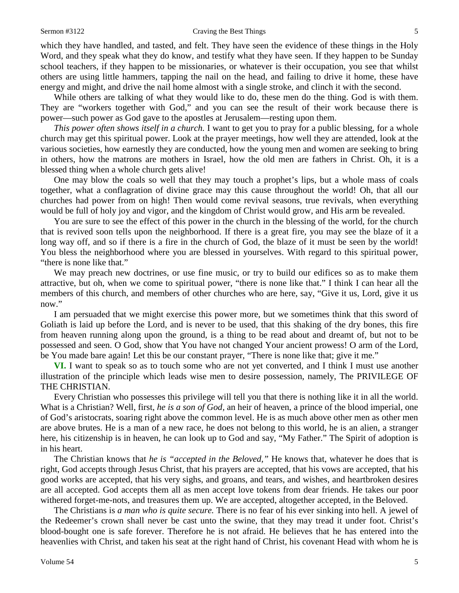#### Sermon #3122 Craving the Best Things 5

which they have handled, and tasted, and felt. They have seen the evidence of these things in the Holy Word, and they speak what they do know, and testify what they have seen. If they happen to be Sunday school teachers, if they happen to be missionaries, or whatever is their occupation, you see that whilst others are using little hammers, tapping the nail on the head, and failing to drive it home, these have energy and might, and drive the nail home almost with a single stroke, and clinch it with the second.

While others are talking of what they would like to do, these men do the thing. God is with them. They are "workers together with God," and you can see the result of their work because there is power—such power as God gave to the apostles at Jerusalem—resting upon them.

*This power often shows itself in a church*. I want to get you to pray for a public blessing, for a whole church may get this spiritual power. Look at the prayer meetings, how well they are attended, look at the various societies, how earnestly they are conducted, how the young men and women are seeking to bring in others, how the matrons are mothers in Israel, how the old men are fathers in Christ. Oh, it is a blessed thing when a whole church gets alive!

One may blow the coals so well that they may touch a prophet's lips, but a whole mass of coals together, what a conflagration of divine grace may this cause throughout the world! Oh, that all our churches had power from on high! Then would come revival seasons, true revivals, when everything would be full of holy joy and vigor, and the kingdom of Christ would grow, and His arm be revealed.

You are sure to see the effect of this power in the church in the blessing of the world, for the church that is revived soon tells upon the neighborhood. If there is a great fire, you may see the blaze of it a long way off, and so if there is a fire in the church of God, the blaze of it must be seen by the world! You bless the neighborhood where you are blessed in yourselves. With regard to this spiritual power, "there is none like that."

We may preach new doctrines, or use fine music, or try to build our edifices so as to make them attractive, but oh, when we come to spiritual power, "there is none like that." I think I can hear all the members of this church, and members of other churches who are here, say, "Give it us, Lord, give it us now."

I am persuaded that we might exercise this power more, but we sometimes think that this sword of Goliath is laid up before the Lord, and is never to be used, that this shaking of the dry bones, this fire from heaven running along upon the ground, is a thing to be read about and dreamt of, but not to be possessed and seen. O God, show that You have not changed Your ancient prowess! O arm of the Lord, be You made bare again! Let this be our constant prayer, "There is none like that; give it me."

**VI.** I want to speak so as to touch some who are not yet converted, and I think I must use another illustration of the principle which leads wise men to desire possession, namely, The PRIVILEGE OF THE CHRISTIAN.

Every Christian who possesses this privilege will tell you that there is nothing like it in all the world. What is a Christian? Well, first, *he is a son of God,* an heir of heaven, a prince of the blood imperial, one of God's aristocrats, soaring right above the common level. He is as much above other men as other men are above brutes. He is a man of a new race, he does not belong to this world, he is an alien, a stranger here, his citizenship is in heaven, he can look up to God and say, "My Father." The Spirit of adoption is in his heart.

The Christian knows that *he is "accepted in the Beloved,"* He knows that, whatever he does that is right, God accepts through Jesus Christ, that his prayers are accepted, that his vows are accepted, that his good works are accepted, that his very sighs, and groans, and tears, and wishes, and heartbroken desires are all accepted. God accepts them all as men accept love tokens from dear friends. He takes our poor withered forget-me-nots, and treasures them up. We are accepted, altogether accepted, in the Beloved.

The Christians is *a man who is quite secure.* There is no fear of his ever sinking into hell. A jewel of the Redeemer's crown shall never be cast unto the swine, that they may tread it under foot. Christ's blood-bought one is safe forever. Therefore he is not afraid. He believes that he has entered into the heavenlies with Christ, and taken his seat at the right hand of Christ, his covenant Head with whom he is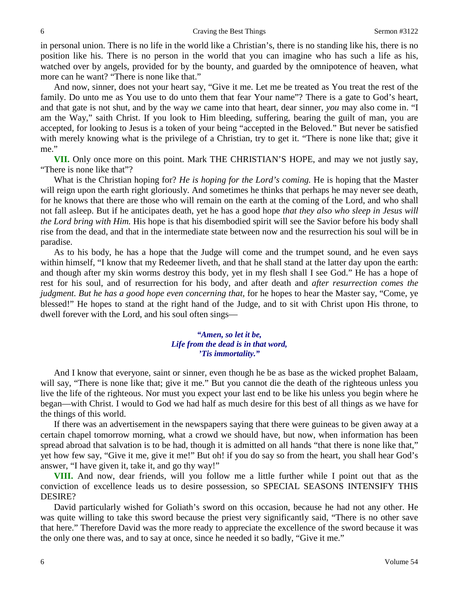in personal union. There is no life in the world like a Christian's, there is no standing like his, there is no position like his. There is no person in the world that you can imagine who has such a life as his, watched over by angels, provided for by the bounty, and guarded by the omnipotence of heaven, what more can he want? "There is none like that."

And now, sinner, does not your heart say, "Give it me. Let me be treated as You treat the rest of the family. Do unto me as You use to do unto them that fear Your name"? There is a gate to God's heart, and that gate is not shut, and by the way *we* came into that heart, dear sinner, *you* may also come in. "I am the Way," saith Christ. If you look to Him bleeding, suffering, bearing the guilt of man, you are accepted, for looking to Jesus is a token of your being "accepted in the Beloved." But never be satisfied with merely knowing what is the privilege of a Christian, try to get it. "There is none like that; give it me."

**VII.** Only once more on this point. Mark THE CHRISTIAN'S HOPE, and may we not justly say, "There is none like that"?

What is the Christian hoping for? *He is hoping for the Lord's coming.* He is hoping that the Master will reign upon the earth right gloriously. And sometimes he thinks that perhaps he may never see death, for he knows that there are those who will remain on the earth at the coming of the Lord, and who shall not fall asleep. But if he anticipates death, yet he has a good hope *that they also who sleep in Jesus will the Lord bring with Him.* His hope is that his disembodied spirit will see the Savior before his body shall rise from the dead, and that in the intermediate state between now and the resurrection his soul will be in paradise.

As to his body, he has a hope that the Judge will come and the trumpet sound, and he even says within himself, "I know that my Redeemer liveth, and that he shall stand at the latter day upon the earth: and though after my skin worms destroy this body, yet in my flesh shall I see God." He has a hope of rest for his soul, and of resurrection for his body, and after death and *after resurrection comes the judgment. But he has a good hope even concerning that, for he hopes to hear the Master say, "Come, ye* blessed!" He hopes to stand at the right hand of the Judge, and to sit with Christ upon His throne, to dwell forever with the Lord, and his soul often sings—

## *"Amen, so let it be, Life from the dead is in that word, 'Tis immortality."*

And I know that everyone, saint or sinner, even though he be as base as the wicked prophet Balaam, will say, "There is none like that; give it me." But you cannot die the death of the righteous unless you live the life of the righteous. Nor must you expect your last end to be like his unless you begin where he began—with Christ. I would to God we had half as much desire for this best of all things as we have for the things of this world.

If there was an advertisement in the newspapers saying that there were guineas to be given away at a certain chapel tomorrow morning, what a crowd we should have, but now, when information has been spread abroad that salvation is to be had, though it is admitted on all hands "that there is none like that," yet how few say, "Give it me, give it me!" But oh! if you do say so from the heart, you shall hear God's answer, "I have given it, take it, and go thy way!"

**VIII.** And now, dear friends, will you follow me a little further while I point out that as the conviction of excellence leads us to desire possession, so SPECIAL SEASONS INTENSIFY THIS DESIRE?

David particularly wished for Goliath's sword on this occasion, because he had not any other. He was quite willing to take this sword because the priest very significantly said, "There is no other save that here." Therefore David was the more ready to appreciate the excellence of the sword because it was the only one there was, and to say at once, since he needed it so badly, "Give it me."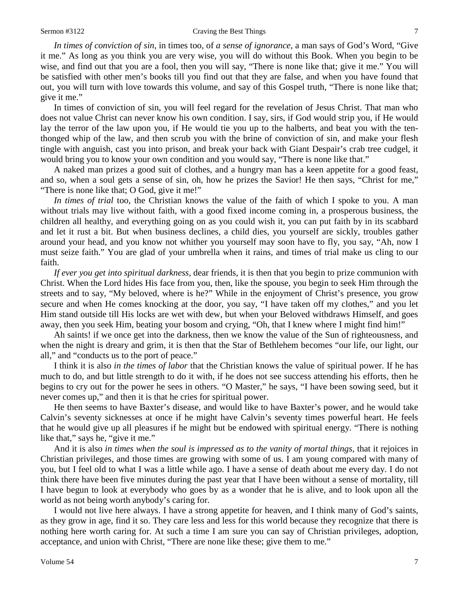*In times of conviction of sin,* in times too, of *a sense of ignorance,* a man says of God's Word, "Give it me." As long as you think you are very wise, you will do without this Book. When you begin to be wise, and find out that you are a fool, then you will say, "There is none like that; give it me." You will be satisfied with other men's books till you find out that they are false, and when you have found that out, you will turn with love towards this volume, and say of this Gospel truth, "There is none like that; give it me."

In times of conviction of sin, you will feel regard for the revelation of Jesus Christ. That man who does not value Christ can never know his own condition. I say, sirs, if God would strip you, if He would lay the terror of the law upon you, if He would tie you up to the halberts, and beat you with the tenthonged whip of the law, and then scrub you with the brine of conviction of sin, and make your flesh tingle with anguish, cast you into prison, and break your back with Giant Despair's crab tree cudgel, it would bring you to know your own condition and you would say, "There is none like that."

A naked man prizes a good suit of clothes, and a hungry man has a keen appetite for a good feast, and so, when a soul gets a sense of sin, oh, how he prizes the Savior! He then says, "Christ for me," "There is none like that; O God, give it me!"

*In times of trial* too, the Christian knows the value of the faith of which I spoke to you. A man without trials may live without faith, with a good fixed income coming in, a prosperous business, the children all healthy, and everything going on as you could wish it, you can put faith by in its scabbard and let it rust a bit. But when business declines, a child dies, you yourself are sickly, troubles gather around your head, and you know not whither you yourself may soon have to fly, you say, "Ah, now I must seize faith." You are glad of your umbrella when it rains, and times of trial make us cling to our faith.

*If ever you get into spiritual darkness,* dear friends, it is then that you begin to prize communion with Christ. When the Lord hides His face from you, then, like the spouse, you begin to seek Him through the streets and to say, "My beloved, where is he?" While in the enjoyment of Christ's presence, you grow secure and when He comes knocking at the door, you say, "I have taken off my clothes," and you let Him stand outside till His locks are wet with dew, but when your Beloved withdraws Himself, and goes away, then you seek Him, beating your bosom and crying, "Oh, that I knew where I might find him!"

Ah saints! if we once get into the darkness, then we know the value of the Sun of righteousness, and when the night is dreary and grim, it is then that the Star of Bethlehem becomes "our life, our light, our all," and "conducts us to the port of peace."

I think it is also *in the times of labor* that the Christian knows the value of spiritual power. If he has much to do, and but little strength to do it with, if he does not see success attending his efforts, then he begins to cry out for the power he sees in others. "O Master," he says, "I have been sowing seed, but it never comes up," and then it is that he cries for spiritual power.

He then seems to have Baxter's disease, and would like to have Baxter's power, and he would take Calvin's seventy sicknesses at once if he might have Calvin's seventy times powerful heart. He feels that he would give up all pleasures if he might but be endowed with spiritual energy. "There is nothing like that," says he, "give it me."

And it is also *in times when the soul is impressed as to the vanity of mortal things,* that it rejoices in Christian privileges, and those times are growing with some of us. I am young compared with many of you, but I feel old to what I was a little while ago. I have a sense of death about me every day. I do not think there have been five minutes during the past year that I have been without a sense of mortality, till I have begun to look at everybody who goes by as a wonder that he is alive, and to look upon all the world as not being worth anybody's caring for.

I would not live here always. I have a strong appetite for heaven, and I think many of God's saints, as they grow in age, find it so. They care less and less for this world because they recognize that there is nothing here worth caring for. At such a time I am sure you can say of Christian privileges, adoption, acceptance, and union with Christ, "There are none like these; give them to me."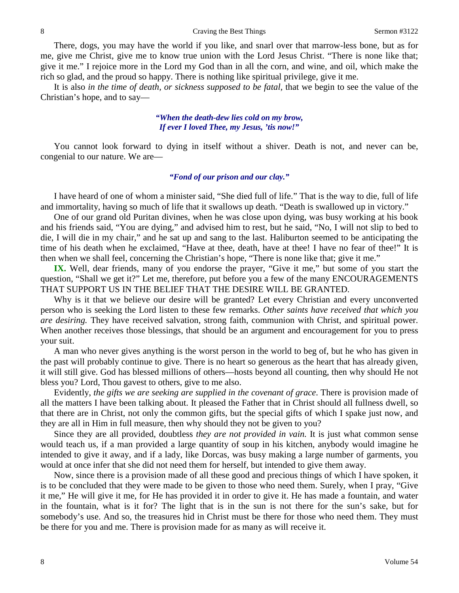There, dogs, you may have the world if you like, and snarl over that marrow-less bone, but as for me, give me Christ, give me to know true union with the Lord Jesus Christ. "There is none like that; give it me." I rejoice more in the Lord my God than in all the corn, and wine, and oil, which make the rich so glad, and the proud so happy. There is nothing like spiritual privilege, give it me.

It is also *in the time of death, or sickness supposed to be fatal,* that we begin to see the value of the Christian's hope, and to say—

### *"When the death-dew lies cold on my brow, If ever I loved Thee, my Jesus, 'tis now!"*

You cannot look forward to dying in itself without a shiver. Death is not, and never can be, congenial to our nature. We are—

## *"Fond of our prison and our clay."*

I have heard of one of whom a minister said, "She died full of life." That is the way to die, full of life and immortality, having so much of life that it swallows up death. "Death is swallowed up in victory."

One of our grand old Puritan divines, when he was close upon dying, was busy working at his book and his friends said, "You are dying," and advised him to rest, but he said, "No, I will not slip to bed to die, I will die in my chair," and he sat up and sang to the last. Haliburton seemed to be anticipating the time of his death when he exclaimed, "Have at thee, death, have at thee! I have no fear of thee!" It is then when we shall feel, concerning the Christian's hope, "There is none like that; give it me."

**IX.** Well, dear friends, many of you endorse the prayer, "Give it me," but some of you start the question, "Shall we get it?" Let me, therefore, put before you a few of the many ENCOURAGEMENTS THAT SUPPORT US IN THE BELIEF THAT THE DESIRE WILL BE GRANTED.

Why is it that we believe our desire will be granted? Let every Christian and every unconverted person who is seeking the Lord listen to these few remarks. *Other saints have received that which you are desiring.* They have received salvation, strong faith, communion with Christ, and spiritual power. When another receives those blessings, that should be an argument and encouragement for you to press your suit.

A man who never gives anything is the worst person in the world to beg of, but he who has given in the past will probably continue to give. There is no heart so generous as the heart that has already given, it will still give. God has blessed millions of others—hosts beyond all counting, then why should He not bless you? Lord, Thou gavest to others, give to me also.

Evidently, *the gifts we are seeking are supplied in the covenant of grace*. There is provision made of all the matters I have been talking about. It pleased the Father that in Christ should all fullness dwell, so that there are in Christ, not only the common gifts, but the special gifts of which I spake just now, and they are all in Him in full measure, then why should they not be given to you?

Since they are all provided, doubtless *they are not provided in vain.* It is just what common sense would teach us, if a man provided a large quantity of soup in his kitchen, anybody would imagine he intended to give it away, and if a lady, like Dorcas, was busy making a large number of garments, you would at once infer that she did not need them for herself, but intended to give them away.

Now, since there is a provision made of all these good and precious things of which I have spoken, it is to be concluded that they were made to be given to those who need them. Surely, when I pray, "Give it me," He will give it me, for He has provided it in order to give it. He has made a fountain, and water in the fountain, what is it for? The light that is in the sun is not there for the sun's sake, but for somebody's use. And so, the treasures hid in Christ must be there for those who need them. They must be there for you and me. There is provision made for as many as will receive it.